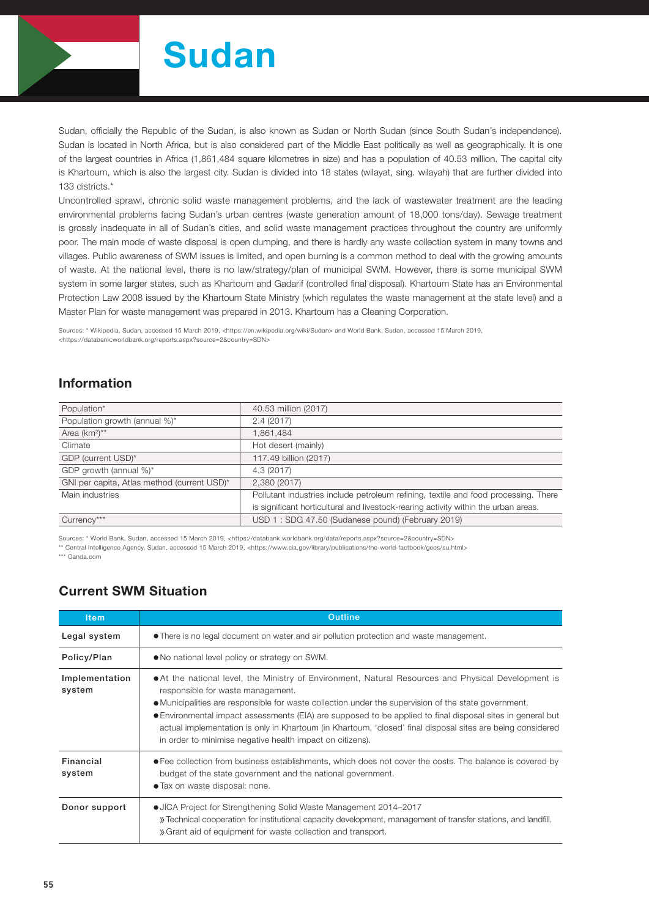

# Sudan

Sudan, officially the Republic of the Sudan, is also known as Sudan or North Sudan (since South Sudan's independence). Sudan is located in North Africa, but is also considered part of the Middle East politically as well as geographically. It is one of the largest countries in Africa (1,861,484 square kilometres in size) and has a population of 40.53 million. The capital city is Khartoum, which is also the largest city. Sudan is divided into 18 states (wilayat, sing. wilayah) that are further divided into 133 districts.\*

Uncontrolled sprawl, chronic solid waste management problems, and the lack of wastewater treatment are the leading environmental problems facing Sudan's urban centres (waste generation amount of 18,000 tons/day). Sewage treatment is grossly inadequate in all of Sudan's cities, and solid waste management practices throughout the country are uniformly poor. The main mode of waste disposal is open dumping, and there is hardly any waste collection system in many towns and villages. Public awareness of SWM issues is limited, and open burning is a common method to deal with the growing amounts of waste. At the national level, there is no law/strategy/plan of municipal SWM. However, there is some municipal SWM system in some larger states, such as Khartoum and Gadarif (controlled final disposal). Khartoum State has an Environmental Protection Law 2008 issued by the Khartoum State Ministry (which regulates the waste management at the state level) and a Master Plan for waste management was prepared in 2013. Khartoum has a Cleaning Corporation.

Sources: \* Wikipedia, Sudan, accessed 15 March 2019, <https://en.wikipedia.org/wiki/Sudan> and World Bank, Sudan, accessed 15 March 2019, <https://databank.worldbank.org/reports.aspx?source=2&country=SDN>

## Information

| Population*                                 | 40.53 million (2017)                                                                |
|---------------------------------------------|-------------------------------------------------------------------------------------|
| Population growth (annual %)*               | 2.4(2017)                                                                           |
| Area (km <sup>2</sup> ) <sup>**</sup>       | 1,861,484                                                                           |
| Climate                                     | Hot desert (mainly)                                                                 |
| GDP (current USD)*                          | 117.49 billion (2017)                                                               |
| GDP growth (annual %)*                      | 4.3 (2017)                                                                          |
| GNI per capita, Atlas method (current USD)* | 2.380 (2017)                                                                        |
| Main industries                             | Pollutant industries include petroleum refining, textile and food processing. There |
|                                             | is significant horticultural and livestock-rearing activity within the urban areas. |
| Currency***                                 | USD 1: SDG 47.50 (Sudanese pound) (February 2019)                                   |

Sources: \* World Bank, Sudan, accessed 15 March 2019, <https://databank.worldbank.org/data/reports.aspx?source=2&country=SDN>

\*\* Central Intelligence Agency, Sudan, accessed 15 March 2019, <https://www.cia.gov/library/publications/the-world-factbook/geos/su.html>

\*\*\* Oanda.com

# Current SWM Situation

| <b>Item</b>              | Outline                                                                                                                                                                                                                                                                                                                                                                                                                                                                                                                                   |  |  |  |  |
|--------------------------|-------------------------------------------------------------------------------------------------------------------------------------------------------------------------------------------------------------------------------------------------------------------------------------------------------------------------------------------------------------------------------------------------------------------------------------------------------------------------------------------------------------------------------------------|--|--|--|--|
| Legal system             | • There is no legal document on water and air pollution protection and waste management.                                                                                                                                                                                                                                                                                                                                                                                                                                                  |  |  |  |  |
| Policy/Plan              | • No national level policy or strategy on SWM.                                                                                                                                                                                                                                                                                                                                                                                                                                                                                            |  |  |  |  |
| Implementation<br>system | • At the national level, the Ministry of Environment, Natural Resources and Physical Development is<br>responsible for waste management.<br>• Municipalities are responsible for waste collection under the supervision of the state government.<br>• Environmental impact assessments (EIA) are supposed to be applied to final disposal sites in general but<br>actual implementation is only in Khartoum (in Khartoum, 'closed' final disposal sites are being considered<br>in order to minimise negative health impact on citizens). |  |  |  |  |
| Financial<br>system      | • Fee collection from business establishments, which does not cover the costs. The balance is covered by<br>budget of the state government and the national government.<br>• Tax on waste disposal: none.                                                                                                                                                                                                                                                                                                                                 |  |  |  |  |
| Donor support            | • JICA Project for Strengthening Solid Waste Management 2014–2017<br>» Technical cooperation for institutional capacity development, management of transfer stations, and landfill.<br>» Grant aid of equipment for waste collection and transport.                                                                                                                                                                                                                                                                                       |  |  |  |  |